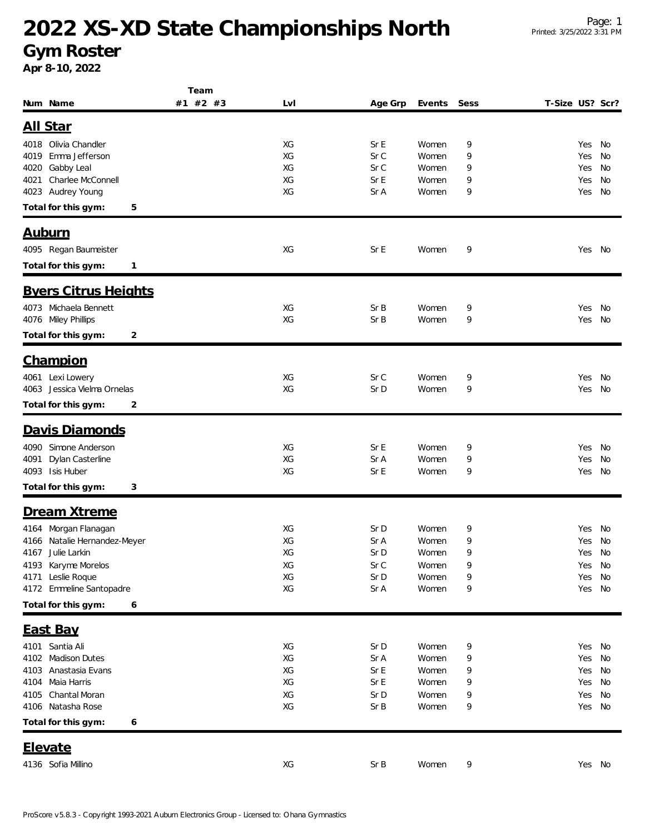## **2022 XS-XD State Championships North**

**Gym Roster**

**Apr 8-10, 2022**

|                                 | Team     |     |         |        |      |                 |        |    |
|---------------------------------|----------|-----|---------|--------|------|-----------------|--------|----|
| Num Name                        | #1 #2 #3 | Lvl | Age Grp | Events | Sess | T-Size US? Scr? |        |    |
|                                 |          |     |         |        |      |                 |        |    |
| All Star                        |          |     |         |        |      |                 |        |    |
| 4018 Olivia Chandler            |          | XG  | Sr E    | Women  | 9    |                 | Yes    | No |
| Emma Jefferson<br>4019          |          | XG  | Sr C    | Women  | 9    |                 | Yes    | No |
| Gabby Leal<br>4020              |          | XG  | Sr C    | Women  | 9    |                 | Yes    | No |
| Charlee McConnell<br>4021       |          | XG  | Sr E    | Women  | 9    |                 | Yes    | No |
| 4023 Audrey Young               |          | XG  | Sr A    | Women  | 9    |                 | Yes    | No |
| Total for this gym:<br>5        |          |     |         |        |      |                 |        |    |
|                                 |          |     |         |        |      |                 |        |    |
| <b>Auburn</b>                   |          |     |         |        |      |                 |        |    |
| 4095 Regan Baumeister           |          | XG  | Sr E    | Women  | 9    |                 | Yes No |    |
| Total for this gym:<br>1        |          |     |         |        |      |                 |        |    |
|                                 |          |     |         |        |      |                 |        |    |
| <b>Byers Citrus Heights</b>     |          |     |         |        |      |                 |        |    |
| 4073 Michaela Bennett           |          | XG  | SrB     | Women  | 9    |                 | Yes    | No |
| 4076 Miley Phillips             |          | XG  | Sr B    | Women  | 9    |                 | Yes    | No |
| Total for this gym:<br>2        |          |     |         |        |      |                 |        |    |
|                                 |          |     |         |        |      |                 |        |    |
| <b>Champion</b>                 |          |     |         |        |      |                 |        |    |
| 4061 Lexi Lowery                |          | XG  | Sr C    | Women  | 9    |                 | Yes    | No |
| 4063 Jessica Vielma Ornelas     |          | XG  | Sr D    | Women  | 9    |                 | Yes    | No |
| Total for this gym:<br>2        |          |     |         |        |      |                 |        |    |
|                                 |          |     |         |        |      |                 |        |    |
| Davis Diamonds                  |          |     |         |        |      |                 |        |    |
| 4090 Simone Anderson            |          | XG  | Sr E    | Women  | 9    |                 | Yes    | No |
| Dylan Casterline<br>4091        |          | XG  | Sr A    | Women  | 9    |                 | Yes    | No |
| 4093 Isis Huber                 |          | XG  | Sr E    | Women  | 9    |                 | Yes    | No |
| Total for this gym:<br>3        |          |     |         |        |      |                 |        |    |
| Dream Xtreme                    |          |     |         |        |      |                 |        |    |
|                                 |          |     |         |        |      |                 |        |    |
| 4164 Morgan Flanagan            |          | XG  | Sr D    | Women  | 9    |                 | Yes    | No |
| Natalie Hernandez-Meyer<br>4166 |          | XG  | Sr A    | Women  | 9    |                 | Yes    | No |
| 4167 Julie Larkin               |          | XG  | Sr D    | Women  | 9    |                 | Yes    | No |
| 4193 Karyme Morelos             |          | XG  | Sr C    | Women  | 9    |                 | Yes    | No |
| 4171 Leslie Roque               |          | XG  | Sr D    | Women  | 9    |                 | Yes    | No |
| 4172 Emmeline Santopadre        |          | XG  | Sr A    | Women  | 9    |                 | Yes    | No |
| Total for this gym:<br>6        |          |     |         |        |      |                 |        |    |
| <b>East Bay</b>                 |          |     |         |        |      |                 |        |    |
|                                 |          |     |         |        |      |                 |        |    |
| 4101 Santia Ali                 |          | XG  | Sr D    | Women  | 9    |                 | Yes No |    |
| 4102 Madison Dutes              |          | XG  | Sr A    | Women  | 9    |                 | Yes    | No |
| Anastasia Evans<br>4103         |          | XG  | Sr E    | Women  | 9    |                 | Yes    | No |
| Maia Harris<br>4104             |          | XG  | Sr E    | Women  | 9    |                 | Yes    | No |
| Chantal Moran<br>4105           |          | XG  | Sr D    | Women  | 9    |                 | Yes    | No |
| 4106 Natasha Rose               |          | XG  | Sr B    | Women  | 9    |                 | Yes    | No |
| Total for this gym:<br>6        |          |     |         |        |      |                 |        |    |
| <u>Elevate</u>                  |          |     |         |        |      |                 |        |    |
|                                 |          |     |         |        |      |                 |        |    |
| 4136 Sofia Millino              |          | XG  | Sr B    | Women  | 9    |                 | Yes No |    |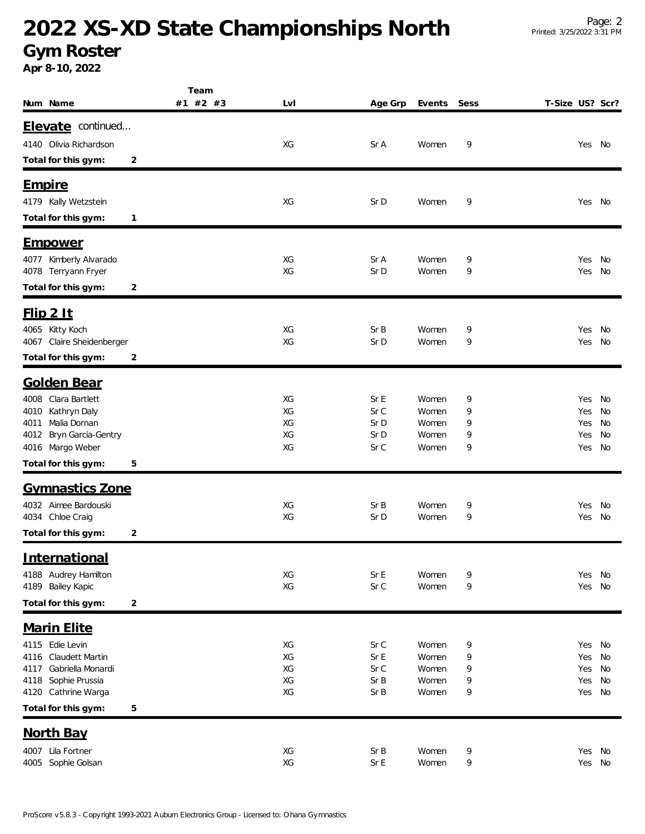## **2022 XS-XD State Championships North**

**Gym Roster**

**Apr 8-10, 2022**

|                                               |                | Team            |              |                |        |                 |               |          |
|-----------------------------------------------|----------------|-----------------|--------------|----------------|--------|-----------------|---------------|----------|
| Num Name                                      |                | #1 #2 #3<br>LvI | Age Grp      | Events         | Sess   | T-Size US? Scr? |               |          |
| Elevate continued                             |                |                 |              |                |        |                 |               |          |
| 4140 Olivia Richardson                        |                | XG              | Sr A         | Women          | 9      |                 | Yes No        |          |
| Total for this gym:                           | 2              |                 |              |                |        |                 |               |          |
|                                               |                |                 |              |                |        |                 |               |          |
| <b>Empire</b>                                 |                |                 |              |                |        |                 |               |          |
| 4179 Kally Wetzstein                          |                | XG              | Sr D         | Women          | 9      |                 | Yes No        |          |
| Total for this gym:                           | $\mathbf{1}$   |                 |              |                |        |                 |               |          |
|                                               |                |                 |              |                |        |                 |               |          |
| <u>Empower</u>                                |                |                 |              |                |        |                 |               |          |
| 4077 Kimberly Alvarado<br>4078 Terryann Fryer |                | XG<br>XG        | Sr A<br>Sr D | Women<br>Women | 9<br>9 |                 | Yes<br>Yes    | No<br>No |
| Total for this gym:                           | 2              |                 |              |                |        |                 |               |          |
|                                               |                |                 |              |                |        |                 |               |          |
| $Flip$ 2 It                                   |                |                 |              |                |        |                 |               |          |
| 4065 Kitty Koch                               |                | XG              | Sr B         | Women          | 9      |                 | Yes           | No       |
| 4067 Claire Sheidenberger                     |                | XG              | Sr D         | Women          | 9      |                 | Yes           | No       |
| Total for this gym:                           | 2              |                 |              |                |        |                 |               |          |
| <b>Golden Bear</b>                            |                |                 |              |                |        |                 |               |          |
| 4008 Clara Bartlett                           |                | XG              | Sr E         | Women          | 9      |                 | Yes No        |          |
| Kathryn Daly<br>4010                          |                | XG              | Sr C         | Women          | 9      |                 | Yes           | No       |
| Malia Dornan<br>4011                          |                | XG              | Sr D         | Women          | 9      |                 | Yes           | No       |
| Bryn Garcia-Gentry<br>4012                    |                | XG              | Sr D         | Women          | 9      |                 | Yes           | No       |
| 4016 Margo Weber                              |                | XG              | Sr C         | Women          | 9      |                 | Yes           | No       |
| Total for this gym:                           | 5              |                 |              |                |        |                 |               |          |
| <b>Gymnastics Zone</b>                        |                |                 |              |                |        |                 |               |          |
| 4032 Aimee Bardouski                          |                | XG              | Sr B         | Women          | 9      |                 | Yes           | No       |
| 4034 Chloe Craig                              |                | XG              | Sr D         | Women          | 9      |                 | Yes           | No       |
| Total for this gym:                           | 2              |                 |              |                |        |                 |               |          |
| International                                 |                |                 |              |                |        |                 |               |          |
| 4188 Audrey Hamilton                          |                | XG              | Sr E         | Women          | 9      |                 | Yes No        |          |
| 4189 Bailey Kapic                             |                | XG              | Sr C         | Women          | 9      |                 | Yes           | No       |
| Total for this gym:                           | $\overline{c}$ |                 |              |                |        |                 |               |          |
| <b>Marin Elite</b>                            |                |                 |              |                |        |                 |               |          |
| 4115 Edie Levin                               |                |                 |              |                |        |                 |               |          |
| Claudett Martin<br>4116                       |                | XG<br>XG        | Sr C<br>Sr E | Women<br>Women | 9<br>9 |                 | Yes No<br>Yes | No       |
| Gabriella Monardi<br>4117                     |                | XG              | Sr C         | Women          | 9      |                 | Yes           | No       |
| Sophie Prussia<br>4118                        |                | XG              | Sr B         | Women          | 9      |                 | Yes           | No       |
| 4120 Cathrine Warga                           |                | XG              | Sr B         | Women          | 9      |                 | Yes           | No       |
| Total for this gym:                           | 5              |                 |              |                |        |                 |               |          |
| North Bay                                     |                |                 |              |                |        |                 |               |          |
| 4007 Lila Fortner                             |                | XG              | Sr B         | Women          | 9      |                 | Yes No        |          |
| 4005 Sophie Golsan                            |                | XG              | Sr E         | Women          | 9      |                 | Yes No        |          |